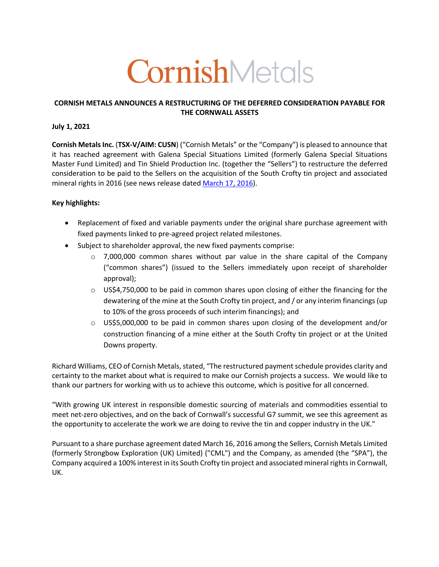# CornishMetals

## **CORNISH METALS ANNOUNCES A RESTRUCTURING OF THE DEFERRED CONSIDERATION PAYABLE FOR THE CORNWALL ASSETS**

#### **July 1, 2021**

**Cornish Metals Inc.** (**TSX-V/AIM: CUSN**) ("Cornish Metals" or the "Company") is pleased to announce that it has reached agreement with Galena Special Situations Limited (formerly Galena Special Situations Master Fund Limited) and Tin Shield Production Inc. (together the "Sellers") to restructure the deferred consideration to be paid to the Sellers on the acquisition of the South Crofty tin project and associated mineral rights in 2016 (see news release dated March 17, 2016).

### **Key highlights:**

- Replacement of fixed and variable payments under the original share purchase agreement with fixed payments linked to pre-agreed project related milestones.
- Subject to shareholder approval, the new fixed payments comprise:
	- $\circ$  7,000,000 common shares without par value in the share capital of the Company ("common shares") (issued to the Sellers immediately upon receipt of shareholder approval);
	- $\circ$  US\$4,750,000 to be paid in common shares upon closing of either the financing for the dewatering of the mine at the South Crofty tin project, and / or any interim financings (up to 10% of the gross proceeds of such interim financings); and
	- $\circ$  US\$5,000,000 to be paid in common shares upon closing of the development and/or construction financing of a mine either at the South Crofty tin project or at the United Downs property.

Richard Williams, CEO of Cornish Metals, stated, "The restructured payment schedule provides clarity and certainty to the market about what is required to make our Cornish projects a success. We would like to thank our partners for working with us to achieve this outcome, which is positive for all concerned.

"With growing UK interest in responsible domestic sourcing of materials and commodities essential to meet net-zero objectives, and on the back of Cornwall's successful G7 summit, we see this agreement as the opportunity to accelerate the work we are doing to revive the tin and copper industry in the UK."

Pursuant to a share purchase agreement dated March 16, 2016 among the Sellers, Cornish Metals Limited (formerly Strongbow Exploration (UK) Limited) ("CML") and the Company, as amended (the "SPA"), the Company acquired a 100% interest in its South Crofty tin project and associated mineral rights in Cornwall, UK.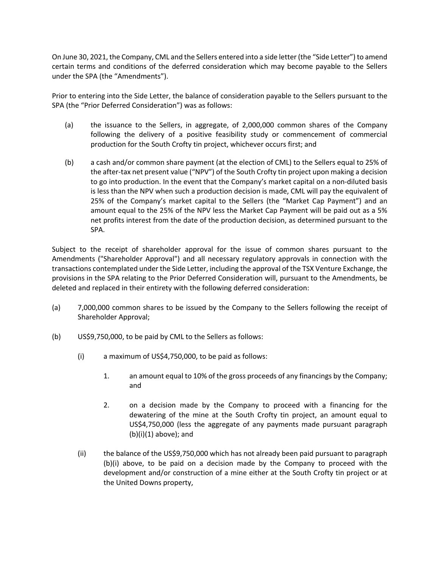On June 30, 2021, the Company, CML and the Sellers entered into a side letter (the "Side Letter") to amend certain terms and conditions of the deferred consideration which may become payable to the Sellers under the SPA (the "Amendments").

Prior to entering into the Side Letter, the balance of consideration payable to the Sellers pursuant to the SPA (the "Prior Deferred Consideration") was as follows:

- (a) the issuance to the Sellers, in aggregate, of 2,000,000 common shares of the Company following the delivery of a positive feasibility study or commencement of commercial production for the South Crofty tin project, whichever occurs first; and
- (b) a cash and/or common share payment (at the election of CML) to the Sellers equal to 25% of the after-tax net present value ("NPV") of the South Crofty tin project upon making a decision to go into production. In the event that the Company's market capital on a non-diluted basis is less than the NPV when such a production decision is made, CML will pay the equivalent of 25% of the Company's market capital to the Sellers (the "Market Cap Payment") and an amount equal to the 25% of the NPV less the Market Cap Payment will be paid out as a 5% net profits interest from the date of the production decision, as determined pursuant to the SPA.

Subject to the receipt of shareholder approval for the issue of common shares pursuant to the Amendments ("Shareholder Approval") and all necessary regulatory approvals in connection with the transactions contemplated under the Side Letter, including the approval of the TSX Venture Exchange, the provisions in the SPA relating to the Prior Deferred Consideration will, pursuant to the Amendments, be deleted and replaced in their entirety with the following deferred consideration:

- (a) 7,000,000 common shares to be issued by the Company to the Sellers following the receipt of Shareholder Approval;
- (b) US\$9,750,000, to be paid by CML to the Sellers as follows:
	- (i) a maximum of US\$4,750,000, to be paid as follows:
		- 1. an amount equal to 10% of the gross proceeds of any financings by the Company; and
		- 2. on a decision made by the Company to proceed with a financing for the dewatering of the mine at the South Crofty tin project, an amount equal to US\$4,750,000 (less the aggregate of any payments made pursuant paragraph  $(b)(i)(1)$  above); and
	- (ii) the balance of the US\$9,750,000 which has not already been paid pursuant to paragraph (b)(i) above, to be paid on a decision made by the Company to proceed with the development and/or construction of a mine either at the South Crofty tin project or at the United Downs property,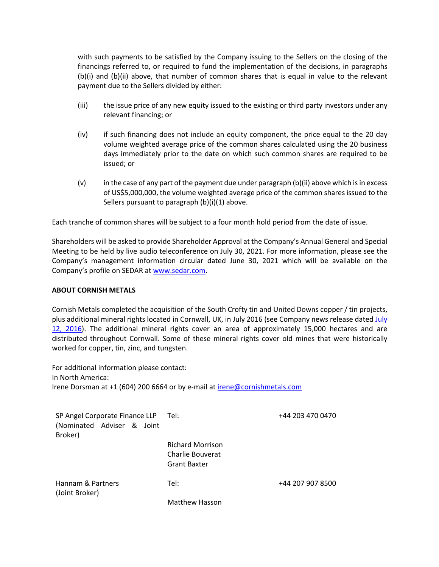with such payments to be satisfied by the Company issuing to the Sellers on the closing of the financings referred to, or required to fund the implementation of the decisions, in paragraphs (b)(i) and (b)(ii) above, that number of common shares that is equal in value to the relevant payment due to the Sellers divided by either:

- (iii) the issue price of any new equity issued to the existing or third party investors under any relevant financing; or
- (iv) if such financing does not include an equity component, the price equal to the 20 day volume weighted average price of the common shares calculated using the 20 business days immediately prior to the date on which such common shares are required to be issued; or
- (v) in the case of any part of the payment due under paragraph (b)(ii) above which is in excess of US\$5,000,000, the volume weighted average price of the common shares issued to the Sellers pursuant to paragraph (b)(i)(1) above.

Each tranche of common shares will be subject to a four month hold period from the date of issue.

Shareholders will be asked to provide Shareholder Approval at the Company's Annual General and Special Meeting to be held by live audio teleconference on July 30, 2021. For more information, please see the Company's management information circular dated June 30, 2021 which will be available on the Company's profile on SEDAR at www.sedar.com.

#### **ABOUT CORNISH METALS**

Cornish Metals completed the acquisition of the South Crofty tin and United Downs copper / tin projects, plus additional mineral rights located in Cornwall, UK, in July 2016 (see Company news release dated July 12, 2016). The additional mineral rights cover an area of approximately 15,000 hectares and are distributed throughout Cornwall. Some of these mineral rights cover old mines that were historically worked for copper, tin, zinc, and tungsten.

For additional information please contact: In North America: Irene Dorsman at +1 (604) 200 6664 or by e-mail at irene@cornishmetals.com

| SP Angel Corporate Finance LLP Tel:<br>(Nominated Adviser & Joint<br>Broker) |                                                                    | +44 203 470 0470 |
|------------------------------------------------------------------------------|--------------------------------------------------------------------|------------------|
|                                                                              | <b>Richard Morrison</b><br>Charlie Bouverat<br><b>Grant Baxter</b> |                  |
| Hannam & Partners<br>(Joint Broker)                                          | Tel:                                                               | +44 207 907 8500 |
|                                                                              | Matthew Hasson                                                     |                  |